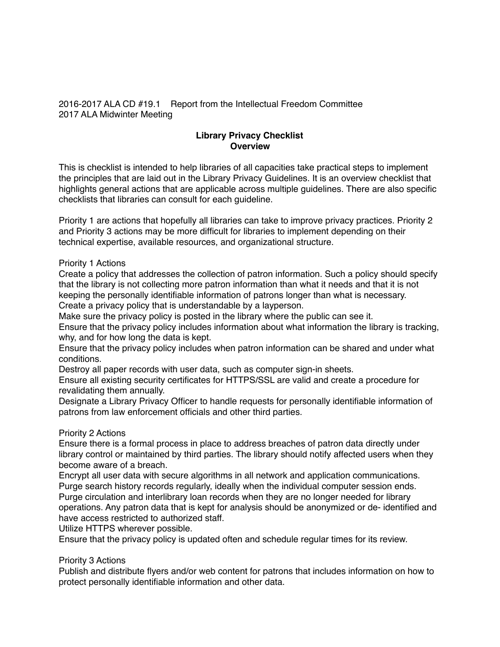2016-2017 ALA CD #19.1 Report from the Intellectual Freedom Committee 2017 ALA Midwinter Meeting

# **Library Privacy Checklist Overview**

This is checklist is intended to help libraries of all capacities take practical steps to implement the principles that are laid out in the Library Privacy Guidelines. It is an overview checklist that highlights general actions that are applicable across multiple guidelines. There are also specific checklists that libraries can consult for each guideline.

Priority 1 are actions that hopefully all libraries can take to improve privacy practices. Priority 2 and Priority 3 actions may be more difficult for libraries to implement depending on their technical expertise, available resources, and organizational structure.

### Priority 1 Actions

Create a policy that addresses the collection of patron information. Such a policy should specify that the library is not collecting more patron information than what it needs and that it is not keeping the personally identifiable information of patrons longer than what is necessary. Create a privacy policy that is understandable by a layperson.

Make sure the privacy policy is posted in the library where the public can see it.

Ensure that the privacy policy includes information about what information the library is tracking, why, and for how long the data is kept.

Ensure that the privacy policy includes when patron information can be shared and under what conditions.

Destroy all paper records with user data, such as computer sign-in sheets.

Ensure all existing security certificates for HTTPS/SSL are valid and create a procedure for revalidating them annually.

Designate a Library Privacy Officer to handle requests for personally identifiable information of patrons from law enforcement officials and other third parties.

## Priority 2 Actions

Ensure there is a formal process in place to address breaches of patron data directly under library control or maintained by third parties. The library should notify affected users when they become aware of a breach.

Encrypt all user data with secure algorithms in all network and application communications. Purge search history records regularly, ideally when the individual computer session ends. Purge circulation and interlibrary loan records when they are no longer needed for library operations. Any patron data that is kept for analysis should be anonymized or de- identified and have access restricted to authorized staff.

Utilize HTTPS wherever possible.

Ensure that the privacy policy is updated often and schedule regular times for its review.

## Priority 3 Actions

Publish and distribute flyers and/or web content for patrons that includes information on how to protect personally identifiable information and other data.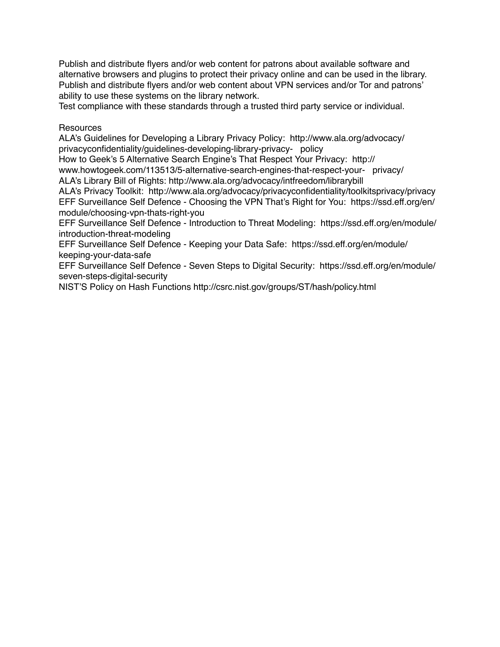Publish and distribute flyers and/or web content for patrons about available software and alternative browsers and plugins to protect their privacy online and can be used in the library. Publish and distribute flyers and/or web content about VPN services and/or Tor and patrons' ability to use these systems on the library network.

Test compliance with these standards through a trusted third party service or individual.

Resources

ALA's Guidelines for Developing a Library Privacy Policy: http://www.ala.org/advocacy/ privacyconfidentiality/guidelines-developing-library-privacy- policy

How to Geek's 5 Alternative Search Engine's That Respect Your Privacy: http://

www.howtogeek.com/113513/5-alternative-search-engines-that-respect-your- privacy/ ALA's Library Bill of Rights: http://www.ala.org/advocacy/intfreedom/librarybill

ALA's Privacy Toolkit: http://www.ala.org/advocacy/privacyconfidentiality/toolkitsprivacy/privacy EFF Surveillance Self Defence - Choosing the VPN That's Right for You: https://ssd.eff.org/en/ module/choosing-vpn-thats-right-you

EFF Surveillance Self Defence - Introduction to Threat Modeling: https://ssd.eff.org/en/module/ introduction-threat-modeling

EFF Surveillance Self Defence - Keeping your Data Safe: https://ssd.eff.org/en/module/ keeping-your-data-safe

EFF Surveillance Self Defence - Seven Steps to Digital Security: https://ssd.eff.org/en/module/ seven-steps-digital-security

NIST'S Policy on Hash Functions http://csrc.nist.gov/groups/ST/hash/policy.html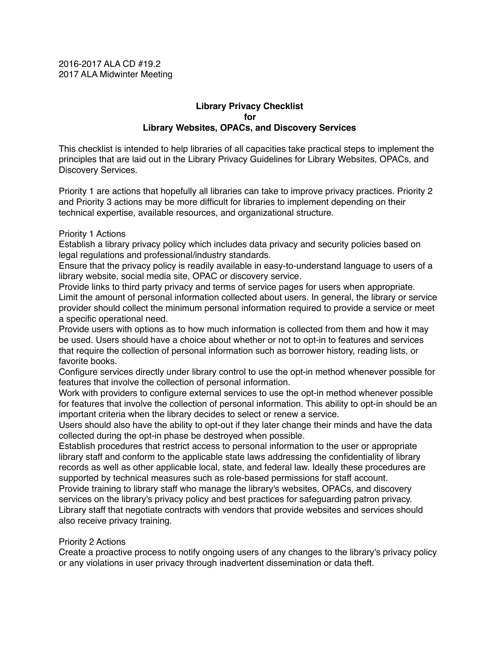2016-2017 ALA CD #19.2 2017 ALA Midwinter Meeting

## **Library Privacy Checklist for Library Websites, OPACs, and Discovery Services**

This checklist is intended to help libraries of all capacities take practical steps to implement the principles that are laid out in the Library Privacy Guidelines for Library Websites, OPACs, and Discovery Services.

Priority 1 are actions that hopefully all libraries can take to improve privacy practices. Priority 2 and Priority 3 actions may be more difficult for libraries to implement depending on their technical expertise, available resources, and organizational structure.

### Priority 1 Actions

Establish a library privacy policy which includes data privacy and security policies based on legal regulations and professional/industry standards.

Ensure that the privacy policy is readily available in easy-to-understand language to users of a library website, social media site, OPAC or discovery service.

Provide links to third party privacy and terms of service pages for users when appropriate. Limit the amount of personal information collected about users. In general, the library or service provider should collect the minimum personal information required to provide a service or meet a specific operational need.

Provide users with options as to how much information is collected from them and how it may be used. Users should have a choice about whether or not to opt-in to features and services that require the collection of personal information such as borrower history, reading lists, or favorite books.

Configure services directly under library control to use the opt-in method whenever possible for features that involve the collection of personal information.

Work with providers to configure external services to use the opt-in method whenever possible for features that involve the collection of personal information. This ability to opt-in should be an important criteria when the library decides to select or renew a service.

Users should also have the ability to opt-out if they later change their minds and have the data collected during the opt-in phase be destroyed when possible.

Establish procedures that restrict access to personal information to the user or appropriate library staff and conform to the applicable state laws addressing the confidentiality of library records as well as other applicable local, state, and federal law. Ideally these procedures are supported by technical measures such as role-based permissions for staff account.

Provide training to library staff who manage the library's websites, OPACs, and discovery services on the library's privacy policy and best practices for safeguarding patron privacy. Library staff that negotiate contracts with vendors that provide websites and services should also receive privacy training.

### Priority 2 Actions

Create a proactive process to notify ongoing users of any changes to the library's privacy policy or any violations in user privacy through inadvertent dissemination or data theft.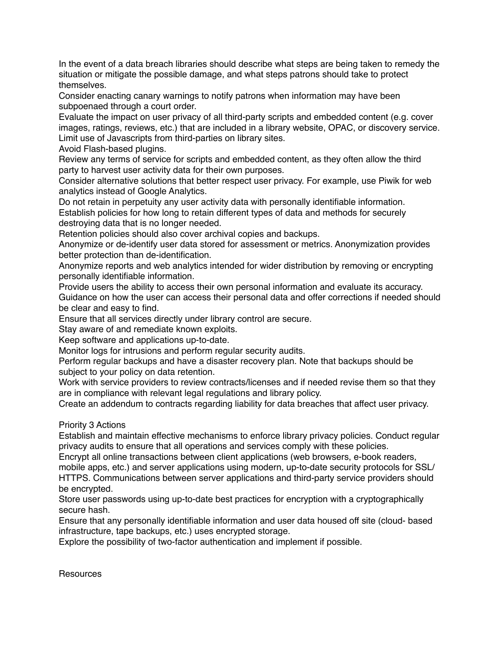In the event of a data breach libraries should describe what steps are being taken to remedy the situation or mitigate the possible damage, and what steps patrons should take to protect themselves.

Consider enacting canary warnings to notify patrons when information may have been subpoenaed through a court order.

Evaluate the impact on user privacy of all third-party scripts and embedded content (e.g. cover images, ratings, reviews, etc.) that are included in a library website, OPAC, or discovery service. Limit use of Javascripts from third-parties on library sites.

Avoid Flash-based plugins.

Review any terms of service for scripts and embedded content, as they often allow the third party to harvest user activity data for their own purposes.

Consider alternative solutions that better respect user privacy. For example, use Piwik for web analytics instead of Google Analytics.

Do not retain in perpetuity any user activity data with personally identifiable information. Establish policies for how long to retain different types of data and methods for securely destroying data that is no longer needed.

Retention policies should also cover archival copies and backups.

Anonymize or de-identify user data stored for assessment or metrics. Anonymization provides better protection than de-identification.

Anonymize reports and web analytics intended for wider distribution by removing or encrypting personally identifiable information.

Provide users the ability to access their own personal information and evaluate its accuracy. Guidance on how the user can access their personal data and offer corrections if needed should be clear and easy to find.

Ensure that all services directly under library control are secure.

Stay aware of and remediate known exploits.

Keep software and applications up-to-date.

Monitor logs for intrusions and perform regular security audits.

Perform regular backups and have a disaster recovery plan. Note that backups should be subject to your policy on data retention.

Work with service providers to review contracts/licenses and if needed revise them so that they are in compliance with relevant legal regulations and library policy.

Create an addendum to contracts regarding liability for data breaches that affect user privacy.

Priority 3 Actions

Establish and maintain effective mechanisms to enforce library privacy policies. Conduct regular privacy audits to ensure that all operations and services comply with these policies.

Encrypt all online transactions between client applications (web browsers, e-book readers, mobile apps, etc.) and server applications using modern, up-to-date security protocols for SSL/ HTTPS. Communications between server applications and third-party service providers should be encrypted.

Store user passwords using up-to-date best practices for encryption with a cryptographically secure hash.

Ensure that any personally identifiable information and user data housed off site (cloud- based infrastructure, tape backups, etc.) uses encrypted storage.

Explore the possibility of two-factor authentication and implement if possible.

**Resources**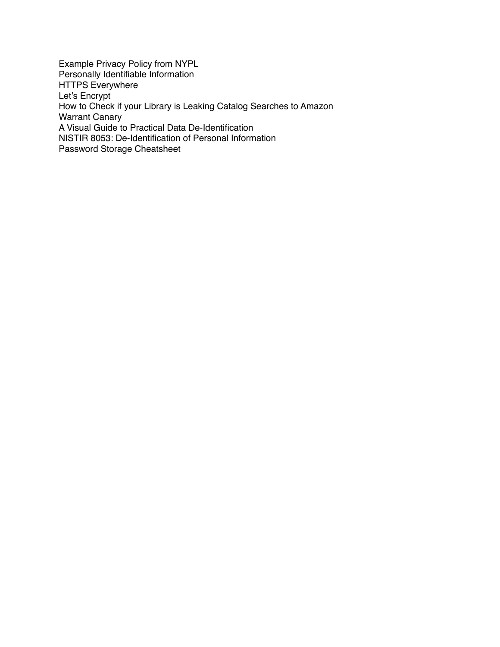Example Privacy Policy from NYPL Personally Identifiable Information HTTPS Everywhere Let's Encrypt How to Check if your Library is Leaking Catalog Searches to Amazon Warrant Canary A Visual Guide to Practical Data De-Identification NISTIR 8053: De-Identification of Personal Information Password Storage Cheatsheet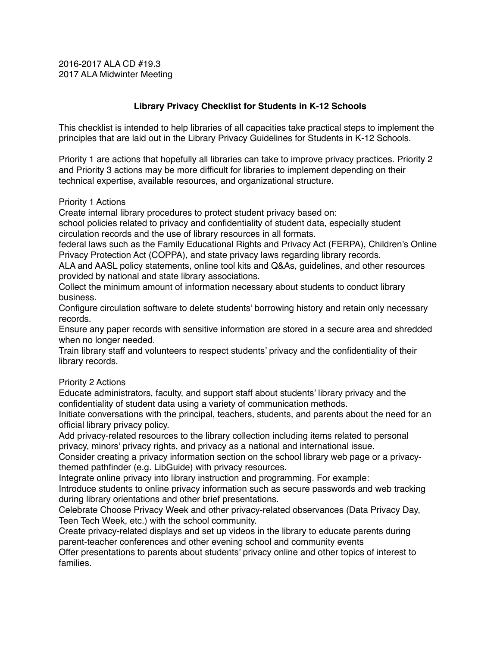2016-2017 ALA CD #19.3 2017 ALA Midwinter Meeting

# **Library Privacy Checklist for Students in K-12 Schools**

This checklist is intended to help libraries of all capacities take practical steps to implement the principles that are laid out in the Library Privacy Guidelines for Students in K-12 Schools.

Priority 1 are actions that hopefully all libraries can take to improve privacy practices. Priority 2 and Priority 3 actions may be more difficult for libraries to implement depending on their technical expertise, available resources, and organizational structure.

Priority 1 Actions

Create internal library procedures to protect student privacy based on:

school policies related to privacy and confidentiality of student data, especially student circulation records and the use of library resources in all formats.

federal laws such as the Family Educational Rights and Privacy Act (FERPA), Children's Online Privacy Protection Act (COPPA), and state privacy laws regarding library records.

ALA and AASL policy statements, online tool kits and Q&As, guidelines, and other resources provided by national and state library associations.

Collect the minimum amount of information necessary about students to conduct library business.

Configure circulation software to delete students' borrowing history and retain only necessary records.

Ensure any paper records with sensitive information are stored in a secure area and shredded when no longer needed.

Train library staff and volunteers to respect students' privacy and the confidentiality of their library records.

Priority 2 Actions

Educate administrators, faculty, and support staff about students' library privacy and the confidentiality of student data using a variety of communication methods.

Initiate conversations with the principal, teachers, students, and parents about the need for an official library privacy policy.

Add privacy-related resources to the library collection including items related to personal privacy, minors' privacy rights, and privacy as a national and international issue.

Consider creating a privacy information section on the school library web page or a privacythemed pathfinder (e.g. LibGuide) with privacy resources.

Integrate online privacy into library instruction and programming. For example:

Introduce students to online privacy information such as secure passwords and web tracking during library orientations and other brief presentations.

Celebrate Choose Privacy Week and other privacy-related observances (Data Privacy Day, Teen Tech Week, etc.) with the school community.

Create privacy-related displays and set up videos in the library to educate parents during parent-teacher conferences and other evening school and community events

Offer presentations to parents about students' privacy online and other topics of interest to families.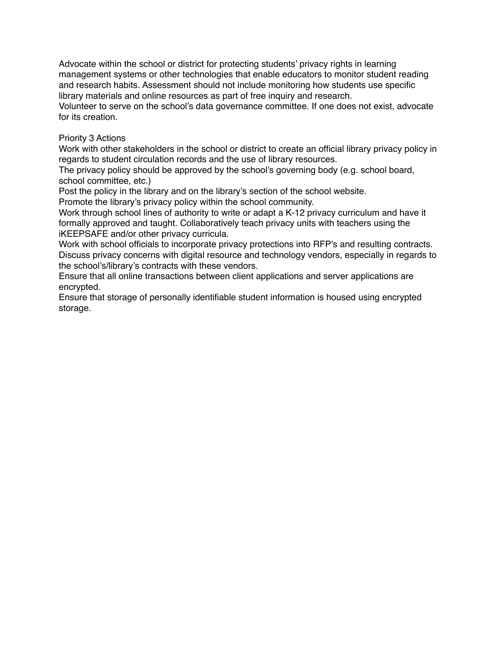Advocate within the school or district for protecting students' privacy rights in learning management systems or other technologies that enable educators to monitor student reading and research habits. Assessment should not include monitoring how students use specific library materials and online resources as part of free inquiry and research.

Volunteer to serve on the school's data governance committee. If one does not exist, advocate for its creation.

## Priority 3 Actions

Work with other stakeholders in the school or district to create an official library privacy policy in regards to student circulation records and the use of library resources.

The privacy policy should be approved by the school's governing body (e.g. school board, school committee, etc.)

Post the policy in the library and on the library's section of the school website.

Promote the library's privacy policy within the school community.

Work through school lines of authority to write or adapt a K-12 privacy curriculum and have it formally approved and taught. Collaboratively teach privacy units with teachers using the iKEEPSAFE and/or other privacy curricula.

Work with school officials to incorporate privacy protections into RFP's and resulting contracts. Discuss privacy concerns with digital resource and technology vendors, especially in regards to the school's/library's contracts with these vendors.

Ensure that all online transactions between client applications and server applications are encrypted.

Ensure that storage of personally identifiable student information is housed using encrypted storage.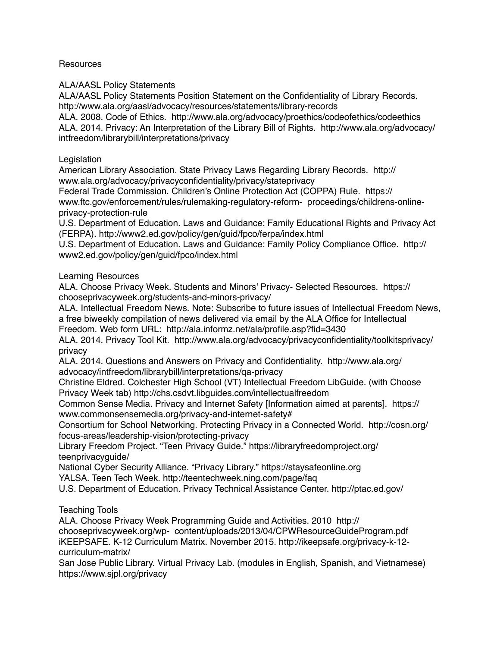**Resources** 

ALA/AASL Policy Statements

ALA/AASL Policy Statements Position Statement on the Confidentiality of Library Records. http://www.ala.org/aasl/advocacy/resources/statements/library-records

ALA. 2008. Code of Ethics. http://www.ala.org/advocacy/proethics/codeofethics/codeethics ALA. 2014. Privacy: An Interpretation of the Library Bill of Rights. http://www.ala.org/advocacy/ intfreedom/librarybill/interpretations/privacy

# Legislation

American Library Association. State Privacy Laws Regarding Library Records. http:// www.ala.org/advocacy/privacyconfidentiality/privacy/stateprivacy

Federal Trade Commission. Children's Online Protection Act (COPPA) Rule. https:// www.ftc.gov/enforcement/rules/rulemaking-regulatory-reform- proceedings/childrens-onlineprivacy-protection-rule

U.S. Department of Education. Laws and Guidance: Family Educational Rights and Privacy Act (FERPA). http://www2.ed.gov/policy/gen/guid/fpco/ferpa/index.html

U.S. Department of Education. Laws and Guidance: Family Policy Compliance Office. http:// www2.ed.gov/policy/gen/guid/fpco/index.html

# Learning Resources

ALA. Choose Privacy Week. Students and Minors' Privacy- Selected Resources. https:// chooseprivacyweek.org/students-and-minors-privacy/

ALA. Intellectual Freedom News. Note: Subscribe to future issues of Intellectual Freedom News, a free biweekly compilation of news delivered via email by the ALA Office for Intellectual

Freedom. Web form URL: http://ala.informz.net/ala/profile.asp?fid=3430

ALA. 2014. Privacy Tool Kit. http://www.ala.org/advocacy/privacyconfidentiality/toolkitsprivacy/ privacy

ALA. 2014. Questions and Answers on Privacy and Confidentiality. http://www.ala.org/ advocacy/intfreedom/librarybill/interpretations/qa-privacy

Christine Eldred. Colchester High School (VT) Intellectual Freedom LibGuide. (with Choose Privacy Week tab) http://chs.csdvt.libguides.com/intellectualfreedom

Common Sense Media. Privacy and Internet Safety [Information aimed at parents]. https:// www.commonsensemedia.org/privacy-and-internet-safety#

Consortium for School Networking. Protecting Privacy in a Connected World. http://cosn.org/ focus-areas/leadership-vision/protecting-privacy

Library Freedom Project. "Teen Privacy Guide." https://libraryfreedomproject.org/ teenprivacyguide/

National Cyber Security Alliance. "Privacy Library." https://staysafeonline.org

YALSA. Teen Tech Week. http://teentechweek.ning.com/page/faq

U.S. Department of Education. Privacy Technical Assistance Center. http://ptac.ed.gov/

# Teaching Tools

ALA. Choose Privacy Week Programming Guide and Activities. 2010 http:// chooseprivacyweek.org/wp- content/uploads/2013/04/CPWResourceGuideProgram.pdf iKEEPSAFE. K-12 Curriculum Matrix. November 2015. http://ikeepsafe.org/privacy-k-12 curriculum-matrix/

San Jose Public Library. Virtual Privacy Lab. (modules in English, Spanish, and Vietnamese) https://www.sjpl.org/privacy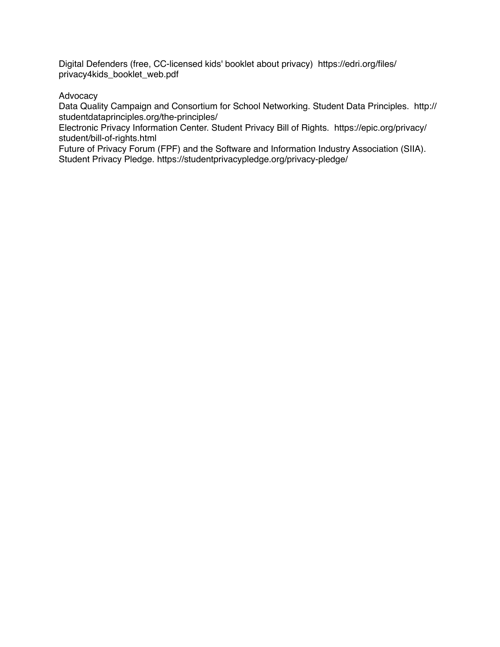Digital Defenders (free, CC-licensed kids' booklet about privacy) https://edri.org/files/ privacy4kids\_booklet\_web.pdf

## Advocacy

Data Quality Campaign and Consortium for School Networking. Student Data Principles. http:// studentdataprinciples.org/the-principles/

Electronic Privacy Information Center. Student Privacy Bill of Rights. https://epic.org/privacy/ student/bill-of-rights.html

Future of Privacy Forum (FPF) and the Software and Information Industry Association (SIIA). Student Privacy Pledge. https://studentprivacypledge.org/privacy-pledge/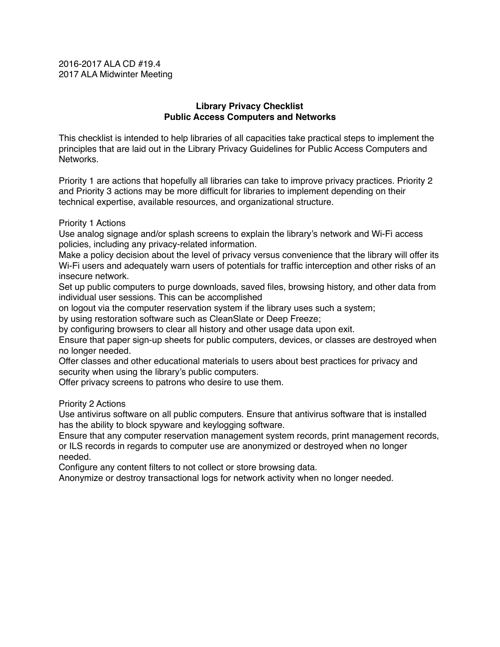2016-2017 ALA CD #19.4 2017 ALA Midwinter Meeting

### **Library Privacy Checklist Public Access Computers and Networks**

This checklist is intended to help libraries of all capacities take practical steps to implement the principles that are laid out in the Library Privacy Guidelines for Public Access Computers and **Networks** 

Priority 1 are actions that hopefully all libraries can take to improve privacy practices. Priority 2 and Priority 3 actions may be more difficult for libraries to implement depending on their technical expertise, available resources, and organizational structure.

### Priority 1 Actions

Use analog signage and/or splash screens to explain the library's network and Wi-Fi access policies, including any privacy-related information.

Make a policy decision about the level of privacy versus convenience that the library will offer its Wi-Fi users and adequately warn users of potentials for traffic interception and other risks of an insecure network.

Set up public computers to purge downloads, saved files, browsing history, and other data from individual user sessions. This can be accomplished

on logout via the computer reservation system if the library uses such a system;

by using restoration software such as CleanSlate or Deep Freeze;

by configuring browsers to clear all history and other usage data upon exit.

Ensure that paper sign-up sheets for public computers, devices, or classes are destroyed when no longer needed.

Offer classes and other educational materials to users about best practices for privacy and security when using the library's public computers.

Offer privacy screens to patrons who desire to use them.

Priority 2 Actions

Use antivirus software on all public computers. Ensure that antivirus software that is installed has the ability to block spyware and keylogging software.

Ensure that any computer reservation management system records, print management records, or ILS records in regards to computer use are anonymized or destroyed when no longer needed.

Configure any content filters to not collect or store browsing data.

Anonymize or destroy transactional logs for network activity when no longer needed.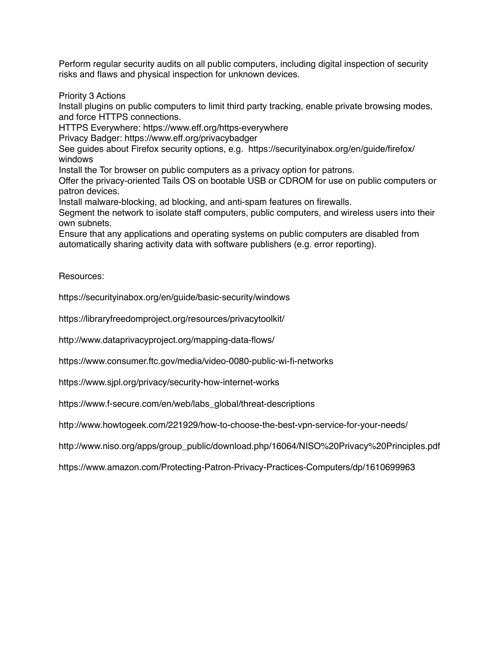Perform regular security audits on all public computers, including digital inspection of security risks and flaws and physical inspection for unknown devices.

Priority 3 Actions

Install plugins on public computers to limit third party tracking, enable private browsing modes, and force HTTPS connections.

HTTPS Everywhere: https://www.eff.org/https-everywhere

Privacy Badger: https://www.eff.org/privacybadger

See guides about Firefox security options, e.g. https://securityinabox.org/en/guide/firefox/ windows

Install the Tor browser on public computers as a privacy option for patrons.

Offer the privacy-oriented Tails OS on bootable USB or CDROM for use on public computers or patron devices.

Install malware-blocking, ad blocking, and anti-spam features on firewalls.

Segment the network to isolate staff computers, public computers, and wireless users into their own subnets.

Ensure that any applications and operating systems on public computers are disabled from automatically sharing activity data with software publishers (e.g. error reporting).

Resources:

https://securityinabox.org/en/guide/basic-security/windows

https://libraryfreedomproject.org/resources/privacytoolkit/

http://www.dataprivacyproject.org/mapping-data-flows/

https://www.consumer.ftc.gov/media/video-0080-public-wi-fi-networks

https://www.sjpl.org/privacy/security-how-internet-works

https://www.f-secure.com/en/web/labs\_global/threat-descriptions

http://www.howtogeek.com/221929/how-to-choose-the-best-vpn-service-for-your-needs/

http://www.niso.org/apps/group\_public/download.php/16064/NISO%20Privacy%20Principles.pdf

https://www.amazon.com/Protecting-Patron-Privacy-Practices-Computers/dp/1610699963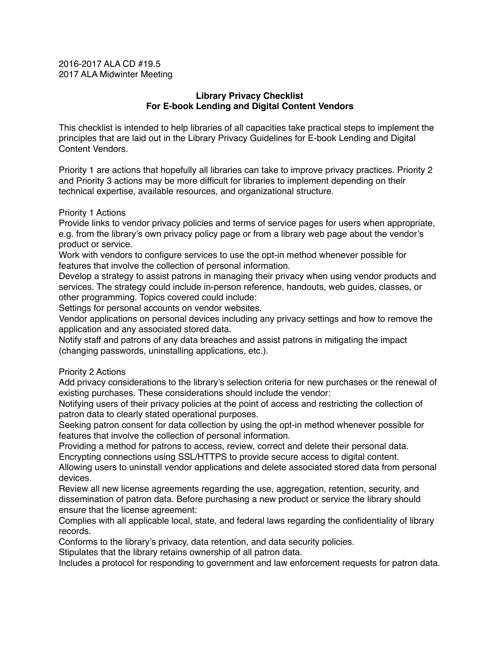### 2016-2017 ALA CD #19.5 2017 ALA Midwinter Meeting

## **Library Privacy Checklist For E-book Lending and Digital Content Vendors**

This checklist is intended to help libraries of all capacities take practical steps to implement the principles that are laid out in the Library Privacy Guidelines for E-book Lending and Digital Content Vendors.

Priority 1 are actions that hopefully all libraries can take to improve privacy practices. Priority 2 and Priority 3 actions may be more difficult for libraries to implement depending on their technical expertise, available resources, and organizational structure.

### Priority 1 Actions

Provide links to vendor privacy policies and terms of service pages for users when appropriate, e.g. from the library's own privacy policy page or from a library web page about the vendor's product or service.

Work with vendors to configure services to use the opt-in method whenever possible for features that involve the collection of personal information.

Develop a strategy to assist patrons in managing their privacy when using vendor products and services. The strategy could include in-person reference, handouts, web guides, classes, or other programming. Topics covered could include:

Settings for personal accounts on vendor websites.

Vendor applications on personal devices including any privacy settings and how to remove the application and any associated stored data.

Notify staff and patrons of any data breaches and assist patrons in mitigating the impact (changing passwords, uninstalling applications, etc.).

## Priority 2 Actions

Add privacy considerations to the library's selection criteria for new purchases or the renewal of existing purchases. These considerations should include the vendor:

Notifying users of their privacy policies at the point of access and restricting the collection of patron data to clearly stated operational purposes.

Seeking patron consent for data collection by using the opt-in method whenever possible for features that involve the collection of personal information.

Providing a method for patrons to access, review, correct and delete their personal data. Encrypting connections using SSL/HTTPS to provide secure access to digital content.

Allowing users to uninstall vendor applications and delete associated stored data from personal devices.

Review all new license agreements regarding the use, aggregation, retention, security, and dissemination of patron data. Before purchasing a new product or service the library should ensure that the license agreement:

Complies with all applicable local, state, and federal laws regarding the confidentiality of library records.

Conforms to the library's privacy, data retention, and data security policies.

Stipulates that the library retains ownership of all patron data.

Includes a protocol for responding to government and law enforcement requests for patron data.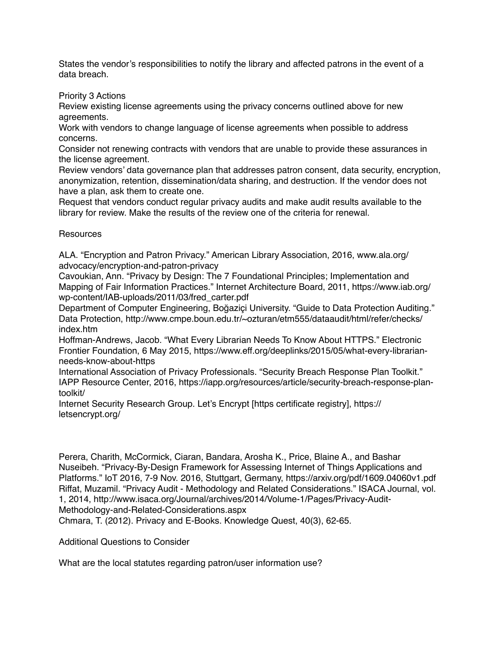States the vendor's responsibilities to notify the library and affected patrons in the event of a data breach.

Priority 3 Actions

Review existing license agreements using the privacy concerns outlined above for new agreements.

Work with vendors to change language of license agreements when possible to address concerns.

Consider not renewing contracts with vendors that are unable to provide these assurances in the license agreement.

Review vendors' data governance plan that addresses patron consent, data security, encryption, anonymization, retention, dissemination/data sharing, and destruction. If the vendor does not have a plan, ask them to create one.

Request that vendors conduct regular privacy audits and make audit results available to the library for review. Make the results of the review one of the criteria for renewal.

# **Resources**

ALA. "Encryption and Patron Privacy." American Library Association, 2016, www.ala.org/ advocacy/encryption-and-patron-privacy

Cavoukian, Ann. "Privacy by Design: The 7 Foundational Principles; Implementation and Mapping of Fair Information Practices." Internet Architecture Board, 2011, https://www.iab.org/ wp-content/IAB-uploads/2011/03/fred\_carter.pdf

Department of Computer Engineering, Boğaziçi University. "Guide to Data Protection Auditing." Data Protection, http://www.cmpe.boun.edu.tr/~ozturan/etm555/dataaudit/html/refer/checks/ index.htm

Hoffman-Andrews, Jacob. "What Every Librarian Needs To Know About HTTPS." Electronic Frontier Foundation, 6 May 2015, https://www.eff.org/deeplinks/2015/05/what-every-librarianneeds-know-about-https

International Association of Privacy Professionals. "Security Breach Response Plan Toolkit." IAPP Resource Center, 2016, https://iapp.org/resources/article/security-breach-response-plantoolkit/

Internet Security Research Group. Let's Encrypt [https certificate registry], https:// letsencrypt.org/

Perera, Charith, McCormick, Ciaran, Bandara, Arosha K., Price, Blaine A., and Bashar Nuseibeh. "Privacy-By-Design Framework for Assessing Internet of Things Applications and Platforms." IoT 2016, 7-9 Nov. 2016, Stuttgart, Germany, https://arxiv.org/pdf/1609.04060v1.pdf Riffat, Muzamil. "Privacy Audit - Methodology and Related Considerations." ISACA Journal, vol. 1, 2014, http://www.isaca.org/Journal/archives/2014/Volume-1/Pages/Privacy-Audit-Methodology-and-Related-Considerations.aspx

Chmara, T. (2012). Privacy and E-Books. Knowledge Quest, 40(3), 62-65.

Additional Questions to Consider

What are the local statutes regarding patron/user information use?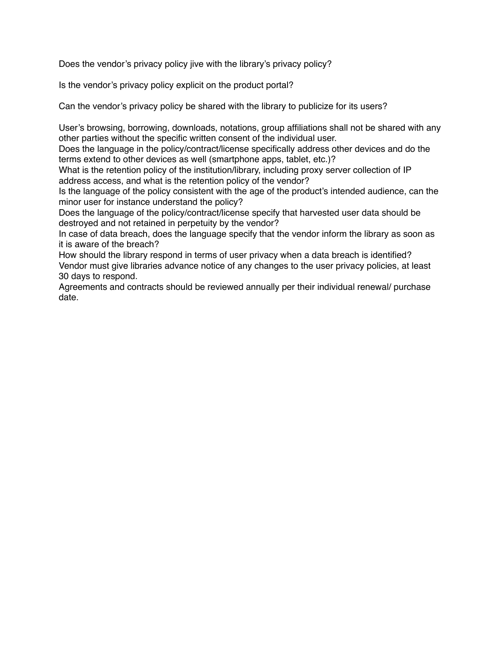Does the vendor's privacy policy jive with the library's privacy policy?

Is the vendor's privacy policy explicit on the product portal?

Can the vendor's privacy policy be shared with the library to publicize for its users?

User's browsing, borrowing, downloads, notations, group affiliations shall not be shared with any other parties without the specific written consent of the individual user.

Does the language in the policy/contract/license specifically address other devices and do the terms extend to other devices as well (smartphone apps, tablet, etc.)?

What is the retention policy of the institution/library, including proxy server collection of IP address access, and what is the retention policy of the vendor?

Is the language of the policy consistent with the age of the product's intended audience, can the minor user for instance understand the policy?

Does the language of the policy/contract/license specify that harvested user data should be destroyed and not retained in perpetuity by the vendor?

In case of data breach, does the language specify that the vendor inform the library as soon as it is aware of the breach?

How should the library respond in terms of user privacy when a data breach is identified? Vendor must give libraries advance notice of any changes to the user privacy policies, at least 30 days to respond.

Agreements and contracts should be reviewed annually per their individual renewal/ purchase date.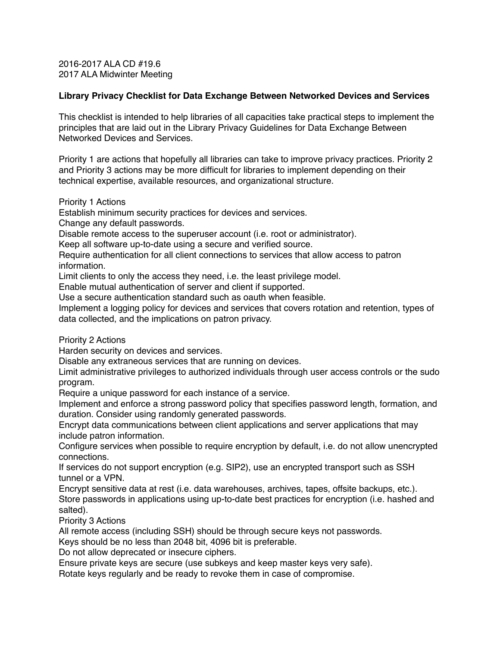2016-2017 ALA CD #19.6 2017 ALA Midwinter Meeting

### **Library Privacy Checklist for Data Exchange Between Networked Devices and Services**

This checklist is intended to help libraries of all capacities take practical steps to implement the principles that are laid out in the Library Privacy Guidelines for Data Exchange Between Networked Devices and Services.

Priority 1 are actions that hopefully all libraries can take to improve privacy practices. Priority 2 and Priority 3 actions may be more difficult for libraries to implement depending on their technical expertise, available resources, and organizational structure.

Priority 1 Actions

Establish minimum security practices for devices and services.

Change any default passwords.

Disable remote access to the superuser account (i.e. root or administrator).

Keep all software up-to-date using a secure and verified source.

Require authentication for all client connections to services that allow access to patron information.

Limit clients to only the access they need, i.e. the least privilege model.

Enable mutual authentication of server and client if supported.

Use a secure authentication standard such as oauth when feasible.

Implement a logging policy for devices and services that covers rotation and retention, types of data collected, and the implications on patron privacy.

Priority 2 Actions

Harden security on devices and services.

Disable any extraneous services that are running on devices.

Limit administrative privileges to authorized individuals through user access controls or the sudo program.

Require a unique password for each instance of a service.

Implement and enforce a strong password policy that specifies password length, formation, and duration. Consider using randomly generated passwords.

Encrypt data communications between client applications and server applications that may include patron information.

Configure services when possible to require encryption by default, i.e. do not allow unencrypted connections.

If services do not support encryption (e.g. SIP2), use an encrypted transport such as SSH tunnel or a VPN.

Encrypt sensitive data at rest (i.e. data warehouses, archives, tapes, offsite backups, etc.). Store passwords in applications using up-to-date best practices for encryption (i.e. hashed and salted).

Priority 3 Actions

All remote access (including SSH) should be through secure keys not passwords.

Keys should be no less than 2048 bit, 4096 bit is preferable.

Do not allow deprecated or insecure ciphers.

Ensure private keys are secure (use subkeys and keep master keys very safe).

Rotate keys regularly and be ready to revoke them in case of compromise.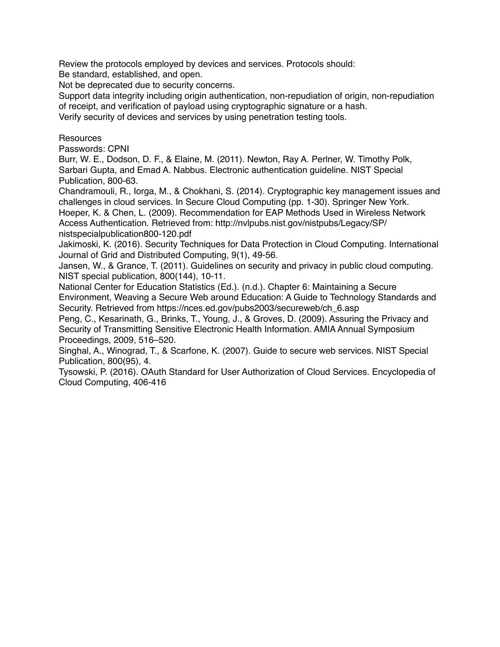Review the protocols employed by devices and services. Protocols should:

Be standard, established, and open.

Not be deprecated due to security concerns.

Support data integrity including origin authentication, non-repudiation of origin, non-repudiation of receipt, and verification of payload using cryptographic signature or a hash. Verify security of devices and services by using penetration testing tools.

# **Resources**

Passwords: CPNI

Burr, W. E., Dodson, D. F., & Elaine, M. (2011). Newton, Ray A. Perlner, W. Timothy Polk, Sarbari Gupta, and Emad A. Nabbus. Electronic authentication guideline. NIST Special Publication, 800-63.

Chandramouli, R., Iorga, M., & Chokhani, S. (2014). Cryptographic key management issues and challenges in cloud services. In Secure Cloud Computing (pp. 1-30). Springer New York. Hoeper, K. & Chen, L. (2009). Recommendation for EAP Methods Used in Wireless Network Access Authentication. Retrieved from: http://nvlpubs.nist.gov/nistpubs/Legacy/SP/ nistspecialpublication800-120.pdf

Jakimoski, K. (2016). Security Techniques for Data Protection in Cloud Computing. International Journal of Grid and Distributed Computing, 9(1), 49-56.

Jansen, W., & Grance, T. (2011). Guidelines on security and privacy in public cloud computing. NIST special publication, 800(144), 10-11.

National Center for Education Statistics (Ed.). (n.d.). Chapter 6: Maintaining a Secure Environment, Weaving a Secure Web around Education: A Guide to Technology Standards and Security. Retrieved from https://nces.ed.gov/pubs2003/secureweb/ch\_6.asp

Peng, C., Kesarinath, G., Brinks, T., Young, J., & Groves, D. (2009). Assuring the Privacy and Security of Transmitting Sensitive Electronic Health Information. AMIA Annual Symposium Proceedings, 2009, 516–520.

Singhal, A., Winograd, T., & Scarfone, K. (2007). Guide to secure web services. NIST Special Publication, 800(95), 4.

Tysowski, P. (2016). OAuth Standard for User Authorization of Cloud Services. Encyclopedia of Cloud Computing, 406-416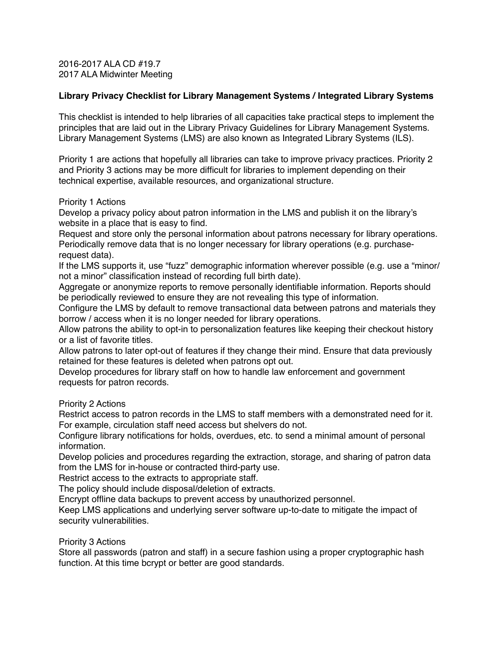2016-2017 ALA CD #19.7 2017 ALA Midwinter Meeting

### **Library Privacy Checklist for Library Management Systems / Integrated Library Systems**

This checklist is intended to help libraries of all capacities take practical steps to implement the principles that are laid out in the Library Privacy Guidelines for Library Management Systems. Library Management Systems (LMS) are also known as Integrated Library Systems (ILS).

Priority 1 are actions that hopefully all libraries can take to improve privacy practices. Priority 2 and Priority 3 actions may be more difficult for libraries to implement depending on their technical expertise, available resources, and organizational structure.

### Priority 1 Actions

Develop a privacy policy about patron information in the LMS and publish it on the library's website in a place that is easy to find.

Request and store only the personal information about patrons necessary for library operations. Periodically remove data that is no longer necessary for library operations (e.g. purchaserequest data).

If the LMS supports it, use "fuzz" demographic information wherever possible (e.g. use a "minor/ not a minor" classification instead of recording full birth date).

Aggregate or anonymize reports to remove personally identifiable information. Reports should be periodically reviewed to ensure they are not revealing this type of information.

Configure the LMS by default to remove transactional data between patrons and materials they borrow / access when it is no longer needed for library operations.

Allow patrons the ability to opt-in to personalization features like keeping their checkout history or a list of favorite titles.

Allow patrons to later opt-out of features if they change their mind. Ensure that data previously retained for these features is deleted when patrons opt out.

Develop procedures for library staff on how to handle law enforcement and government requests for patron records.

### Priority 2 Actions

Restrict access to patron records in the LMS to staff members with a demonstrated need for it. For example, circulation staff need access but shelvers do not.

Configure library notifications for holds, overdues, etc. to send a minimal amount of personal information.

Develop policies and procedures regarding the extraction, storage, and sharing of patron data from the LMS for in-house or contracted third-party use.

Restrict access to the extracts to appropriate staff.

The policy should include disposal/deletion of extracts.

Encrypt offline data backups to prevent access by unauthorized personnel.

Keep LMS applications and underlying server software up-to-date to mitigate the impact of security vulnerabilities.

### Priority 3 Actions

Store all passwords (patron and staff) in a secure fashion using a proper cryptographic hash function. At this time bcrypt or better are good standards.